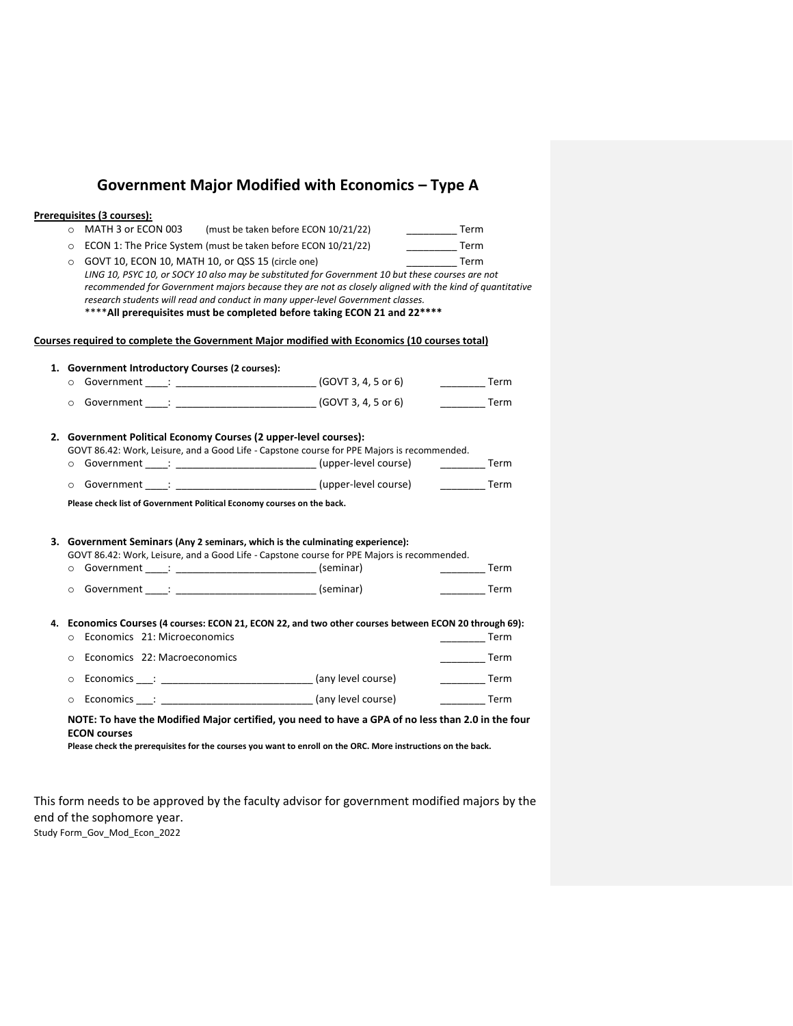# **Government Major Modified with Economics – Type A**

|    | Prerequisites (3 courses):                                                                                                                                                                                                                                                                                                                                                  |  |                               |
|----|-----------------------------------------------------------------------------------------------------------------------------------------------------------------------------------------------------------------------------------------------------------------------------------------------------------------------------------------------------------------------------|--|-------------------------------|
|    | MATH 3 or ECON 003 (must be taken before ECON 10/21/22)<br>$\circ$                                                                                                                                                                                                                                                                                                          |  | <b>Example Term</b>           |
|    | ECON 1: The Price System (must be taken before ECON 10/21/22)<br>$\Omega$                                                                                                                                                                                                                                                                                                   |  | $\frac{1}{1}$ Term            |
|    | GOVT 10, ECON 10, MATH 10, or QSS 15 (circle one)<br>$\circ$                                                                                                                                                                                                                                                                                                                |  | <b>Example 7</b> Term         |
|    | LING 10, PSYC 10, or SOCY 10 also may be substituted for Government 10 but these courses are not<br>recommended for Government majors because they are not as closely aligned with the kind of quantitative<br>research students will read and conduct in many upper-level Government classes.<br>**** All prerequisites must be completed before taking ECON 21 and 22**** |  |                               |
|    |                                                                                                                                                                                                                                                                                                                                                                             |  |                               |
|    |                                                                                                                                                                                                                                                                                                                                                                             |  |                               |
|    |                                                                                                                                                                                                                                                                                                                                                                             |  |                               |
|    | Courses required to complete the Government Major modified with Economics (10 courses total)                                                                                                                                                                                                                                                                                |  |                               |
|    | 1. Government Introductory Courses (2 courses):                                                                                                                                                                                                                                                                                                                             |  |                               |
|    |                                                                                                                                                                                                                                                                                                                                                                             |  | <b>Term</b>                   |
|    |                                                                                                                                                                                                                                                                                                                                                                             |  | <b>Example Term</b>           |
|    |                                                                                                                                                                                                                                                                                                                                                                             |  |                               |
|    | 2. Government Political Economy Courses (2 upper-level courses):                                                                                                                                                                                                                                                                                                            |  |                               |
|    | GOVT 86.42: Work, Leisure, and a Good Life - Capstone course for PPE Majors is recommended.                                                                                                                                                                                                                                                                                 |  |                               |
|    |                                                                                                                                                                                                                                                                                                                                                                             |  | $\overline{\phantom{a}}$ Term |
|    | o Government ____: __________________________(upper-level course)    ____ _____ Term                                                                                                                                                                                                                                                                                        |  |                               |
|    | Please check list of Government Political Economy courses on the back.                                                                                                                                                                                                                                                                                                      |  |                               |
|    |                                                                                                                                                                                                                                                                                                                                                                             |  |                               |
|    | 3. Government Seminars (Any 2 seminars, which is the culminating experience):                                                                                                                                                                                                                                                                                               |  |                               |
|    | GOVT 86.42: Work, Leisure, and a Good Life - Capstone course for PPE Majors is recommended.                                                                                                                                                                                                                                                                                 |  |                               |
|    | O Government ____: _____________________________(seminar)                                                                                                                                                                                                                                                                                                                   |  | <b>Example Term</b>           |
|    | o Government ____: _____________________________(seminar)                                                                                                                                                                                                                                                                                                                   |  | <b>Term</b>                   |
|    |                                                                                                                                                                                                                                                                                                                                                                             |  |                               |
| 4. | Economics Courses (4 courses: ECON 21, ECON 22, and two other courses between ECON 20 through 69):                                                                                                                                                                                                                                                                          |  |                               |
|    | ○ Economics 21: Microeconomics                                                                                                                                                                                                                                                                                                                                              |  | <b>Example Term</b>           |
|    | Economics 22: Macroeconomics<br>$\circ$                                                                                                                                                                                                                                                                                                                                     |  | <b>Term</b>                   |
|    | $\circ$                                                                                                                                                                                                                                                                                                                                                                     |  | <b>Example 7</b> Term         |
|    | Economics : (any level course)<br>$\circ$                                                                                                                                                                                                                                                                                                                                   |  | <b>Term</b>                   |
|    | NOTE: To have the Modified Major certified, you need to have a GPA of no less than 2.0 in the four                                                                                                                                                                                                                                                                          |  |                               |
|    | <b>ECON courses</b>                                                                                                                                                                                                                                                                                                                                                         |  |                               |
|    | Please check the prerequisites for the courses you want to enroll on the ORC. More instructions on the back.                                                                                                                                                                                                                                                                |  |                               |
|    |                                                                                                                                                                                                                                                                                                                                                                             |  |                               |

This form needs to be approved by the faculty advisor for government modified majors by the end of the sophomore year.

Study Form\_Gov\_Mod\_Econ\_2022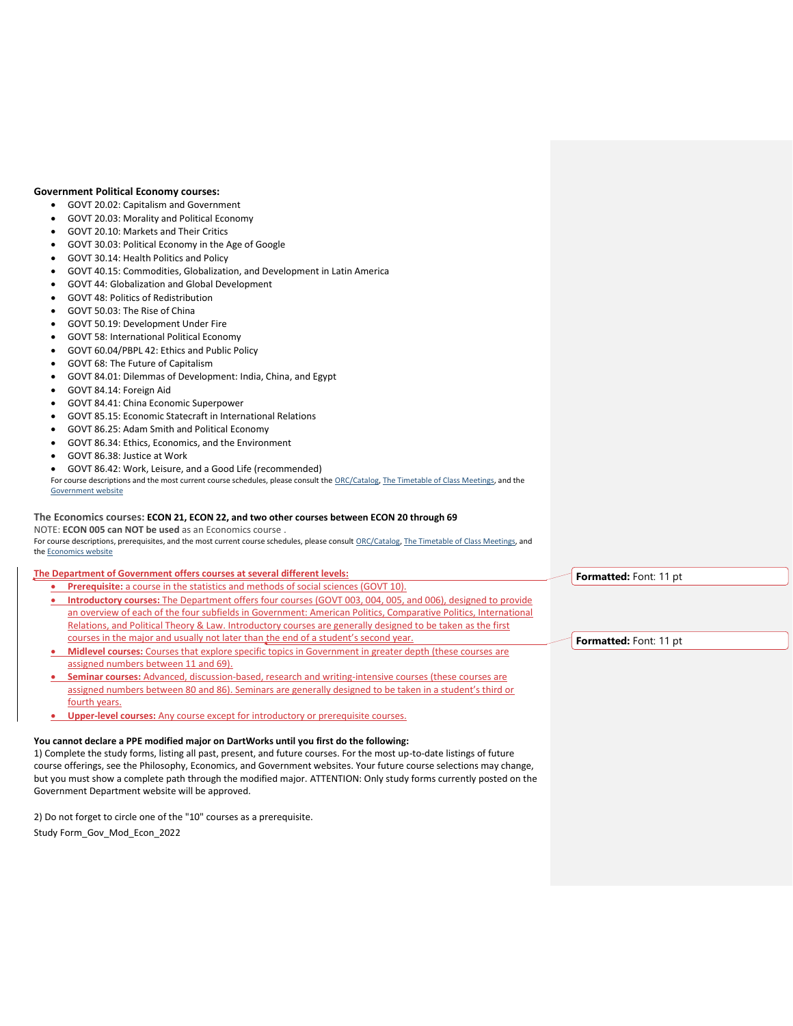## **Government Political Economy courses:**

- GOVT 20.02: Capitalism and Government
- GOVT 20.03: Morality and Political Economy
- GOVT 20.10: Markets and Their Critics
- GOVT 30.03: Political Economy in the Age of Google
- GOVT 30.14: Health Politics and Policy
- GOVT 40.15: Commodities, Globalization, and Development in Latin America
- GOVT 44: Globalization and Global Development
- GOVT 48: Politics of Redistribution
- GOVT 50.03: The Rise of China
- GOVT 50.19: Development Under Fire
- GOVT 58: International Political Economy
- GOVT 60.04/PBPL 42: Ethics and Public Policy
- GOVT 68: The Future of Capitalism
- GOVT 84.01: Dilemmas of Development: India, China, and Egypt
- GOVT 84.14: Foreign Aid
- GOVT 84.41: China Economic Superpower
- GOVT 85.15: Economic Statecraft in International Relations
- GOVT 86.25: Adam Smith and Political Economy
- GOVT 86.34: Ethics, Economics, and the Environment
- GOVT 86.38: Justice at Work
- GOVT 86.42: Work, Leisure, and a Good Life (recommended)

For course descriptions and the most current course schedules, please consult the [ORC/Catalog,](http://dartmouth.smartcatalogiq.com/en/current/orc/Departments-Programs-Undergraduate/Government) [The Timetable of Class Meetings,](https://oracle-www.dartmouth.edu/dart/groucho/timetable.main) and the [Government website](https://govt.dartmouth.edu/undergraduate/courses)

#### **The Economics courses: ECON 21, ECON 22, and two other courses between ECON 20 through 69**

NOTE: **ECON 005 can NOT be used** as an Economics course .

For course descriptions, prerequisites, and the most current course schedules, please consult [ORC/Catalog,](http://dartmouth.smartcatalogiq.com/en/current/orc/Departments-Programs-Undergraduate/Government) [The Timetable of Class Meetings,](https://oracle-www.dartmouth.edu/dart/groucho/timetable.main) and the [Economics website](https://economics.dartmouth.edu/undergraduate/course-information)

#### **The Department of Government offers courses at several different levels:**

- **Prerequisite:** a course in the statistics and methods of social sciences (GOVT 10).
- **Introductory courses:** The Department offers four courses (GOVT 003, 004, 005, and 006), designed to provide an overview of each of the four subfields in Government: American Politics, Comparative Politics, International Relations, and Political Theory & Law. Introductory courses are generally designed to be taken as the first courses in the major and usually not later than the end of a student's second year.
- **Midlevel courses:** Courses that explore specific topics in Government in greater depth (these courses are assigned numbers between 11 and 69).
- **Seminar courses:** Advanced, discussion-based, research and writing-intensive courses (these courses are assigned numbers between 80 and 86). Seminars are generally designed to be taken in a student's third or fourth years.
- **Upper-level courses:** Any course except for introductory or prerequisite courses.

## **You cannot declare a PPE modified major on DartWorks until you first do the following:**

1) Complete the study forms, listing all past, present, and future courses. For the most up-to-date listings of future course offerings, see the Philosophy, Economics, and Government websites. Your future course selections may change, but you must show a complete path through the modified major. ATTENTION: Only study forms currently posted on the Government Department website will be approved.

Study Form\_Gov\_Mod\_Econ\_2022 2) Do not forget to circle one of the "10" courses as a prerequisite. **Formatted:** Font: 11 pt

**Formatted:** Font: 11 pt